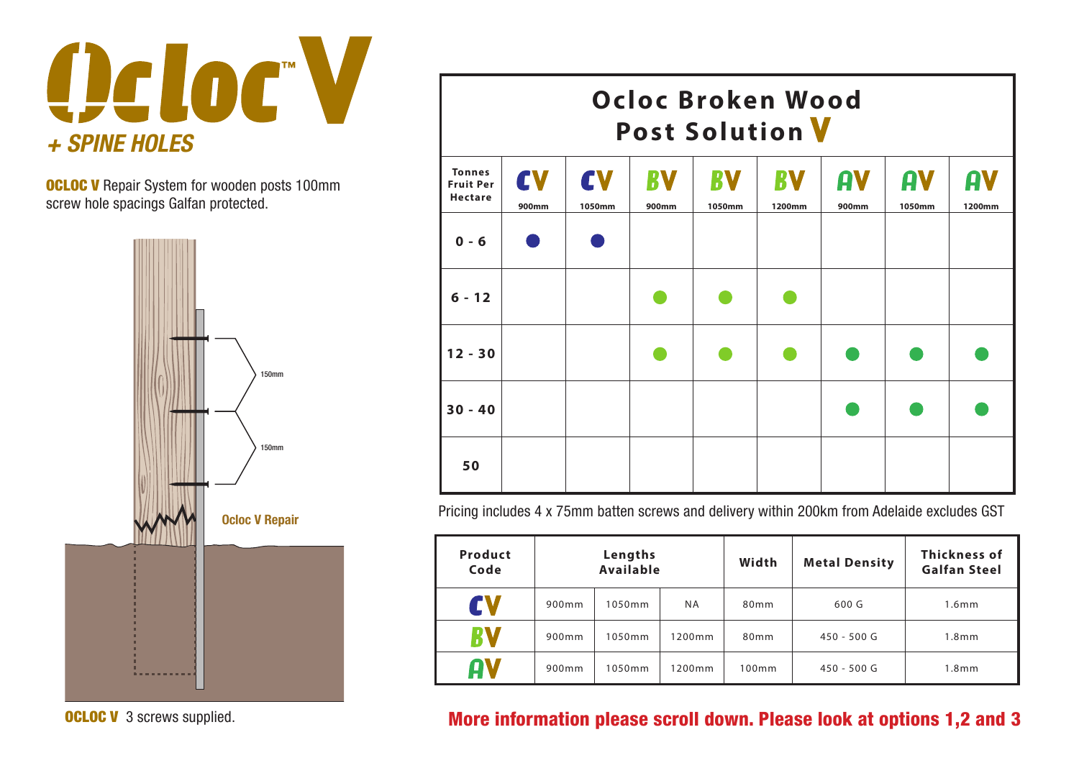

**OCLOC V** Repair System for wooden posts 100mm screw hole spacings Galfan protected.



**OCLOC V** 3 screws supplied.

| Ocloc Broken Wood<br><b>Post Solution V</b>         |             |              |                    |                     |              |                    |              |              |  |  |  |
|-----------------------------------------------------|-------------|--------------|--------------------|---------------------|--------------|--------------------|--------------|--------------|--|--|--|
| <b>Tonnes</b><br><b>Fruit Per</b><br><b>Hectare</b> | CV<br>900mm | CV<br>1050mm | <b>RV</b><br>900mm | <b>RV</b><br>1050mm | RV<br>1200mm | AV<br><b>900mm</b> | AV<br>1050mm | AV<br>1200mm |  |  |  |
| $0 - 6$                                             |             |              |                    |                     |              |                    |              |              |  |  |  |
| $6 - 12$                                            |             |              |                    |                     |              |                    |              |              |  |  |  |
| $12 - 30$                                           |             |              |                    |                     |              |                    |              |              |  |  |  |
| $30 - 40$                                           |             |              |                    |                     |              |                    |              |              |  |  |  |
| 50                                                  |             |              |                    |                     |              |                    |              |              |  |  |  |

Pricing includes 4 x 75mm batten screws and delivery within 200km from Adelaide excludes GST

| Product<br>Code |       | Lengths<br><b>Available</b> |           | Width     | <b>Metal Density</b> | Thickness of<br><b>Galfan Steel</b> |
|-----------------|-------|-----------------------------|-----------|-----------|----------------------|-------------------------------------|
| EV              | 900mm | 1050mm                      | <b>NA</b> | 80mm      | 600 G                | 1.6 <sub>m</sub>                    |
| RV              | 900mm | 1050mm                      | 1200mm    | 80mm      | 450 - 500 G          | 1.8 <sub>mm</sub>                   |
| OV              | 900mm | 1050mm                      | 1200mm    | $100$ m m | 450 - 500 G          | 1.8 <sub>m</sub>                    |

## More information please scroll down. Please look at options 1,2 and 3